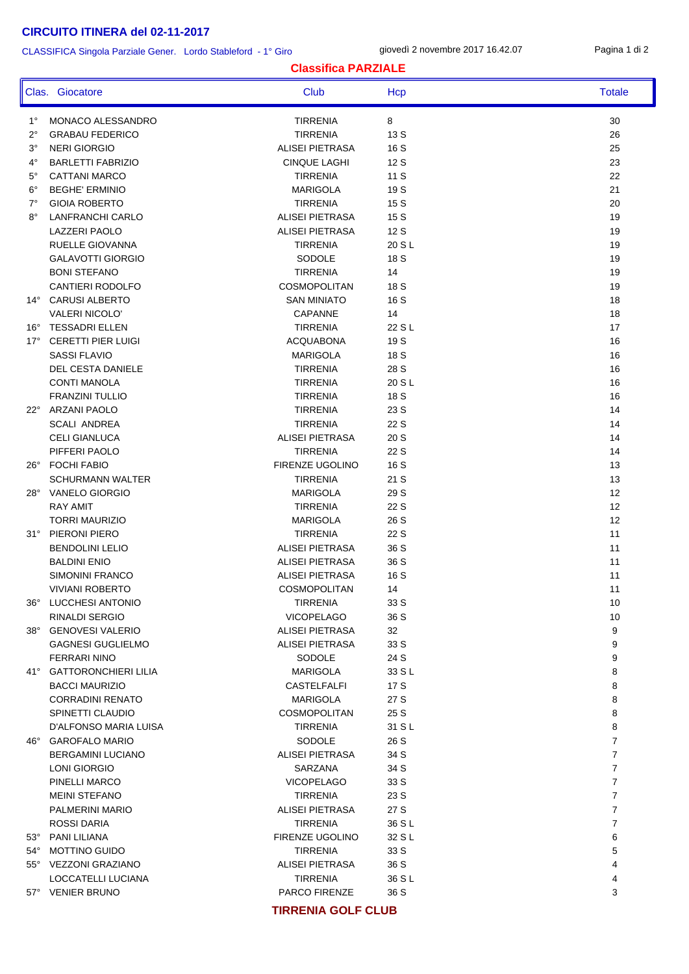#### CLASSIFICA Singola Parziale Gener. Lordo Stableford - 1° Giro

giovedì 2 novembre 2017 16.42.07 Pagina 1 di 2

#### **Classifica PARZIALE**

|              | Clas. Giocatore           | Club                   | Hcp    | <b>Totale</b>  |
|--------------|---------------------------|------------------------|--------|----------------|
| $1^{\circ}$  | MONACO ALESSANDRO         | <b>TIRRENIA</b>        | 8      | 30             |
| 2°           | <b>GRABAU FEDERICO</b>    | <b>TIRRENIA</b>        | 13 S   | 26             |
| 3°           | <b>NERI GIORGIO</b>       | <b>ALISEI PIETRASA</b> | 16 S   | 25             |
| 4°           | <b>BARLETTI FABRIZIO</b>  | <b>CINQUE LAGHI</b>    | 12 S   | 23             |
| 5°           | <b>CATTANI MARCO</b>      | <b>TIRRENIA</b>        | 11 S   | 22             |
| $6^{\circ}$  | <b>BEGHE' ERMINIO</b>     | <b>MARIGOLA</b>        | 19 S   | 21             |
| 7°           | <b>GIOIA ROBERTO</b>      | <b>TIRRENIA</b>        | 15 S   | 20             |
| $8^{\circ}$  | <b>LANFRANCHI CARLO</b>   | <b>ALISEI PIETRASA</b> | 15 S   | 19             |
|              | <b>LAZZERI PAOLO</b>      | <b>ALISEI PIETRASA</b> | 12 S   | 19             |
|              | RUELLE GIOVANNA           | <b>TIRRENIA</b>        | 20 S L | 19             |
|              | <b>GALAVOTTI GIORGIO</b>  | SODOLE                 | 18 S   | 19             |
|              | <b>BONI STEFANO</b>       | <b>TIRRENIA</b>        | 14     | 19             |
|              | CANTIERI RODOLFO          | <b>COSMOPOLITAN</b>    | 18 S   | 19             |
| $14^{\circ}$ | <b>CARUSI ALBERTO</b>     | <b>SAN MINIATO</b>     | 16 S   | 18             |
|              | <b>VALERI NICOLO'</b>     | <b>CAPANNE</b>         | 14     | 18             |
| $16^{\circ}$ | <b>TESSADRI ELLEN</b>     | <b>TIRRENIA</b>        | 22 S L | 17             |
| $17^{\circ}$ | <b>CERETTI PIER LUIGI</b> | <b>ACQUABONA</b>       | 19 S   | 16             |
|              | <b>SASSI FLAVIO</b>       | <b>MARIGOLA</b>        | 18 S   | 16             |
|              | DEL CESTA DANIELE         | <b>TIRRENIA</b>        | 28 S   | 16             |
|              | <b>CONTI MANOLA</b>       | <b>TIRRENIA</b>        | 20 S L | 16             |
|              | <b>FRANZINI TULLIO</b>    | <b>TIRRENIA</b>        | 18 S   | 16             |
|              | 22° ARZANI PAOLO          | <b>TIRRENIA</b>        | 23 S   | 14             |
|              | <b>SCALI ANDREA</b>       | <b>TIRRENIA</b>        | 22 S   | 14             |
|              | <b>CELI GIANLUCA</b>      | <b>ALISEI PIETRASA</b> | 20 S   | 14             |
|              | PIFFERI PAOLO             | <b>TIRRENIA</b>        | 22 S   | 14             |
|              | 26° FOCHI FABIO           | <b>FIRENZE UGOLINO</b> | 16 S   | 13             |
|              | <b>SCHURMANN WALTER</b>   | <b>TIRRENIA</b>        | 21 S   | 13             |
|              | 28° VANELO GIORGIO        | <b>MARIGOLA</b>        | 29 S   | 12             |
|              | <b>RAY AMIT</b>           | <b>TIRRENIA</b>        | 22 S   | 12             |
|              | <b>TORRI MAURIZIO</b>     | <b>MARIGOLA</b>        | 26 S   | 12             |
|              | 31° PIERONI PIERO         | <b>TIRRENIA</b>        | 22 S   | 11             |
|              | <b>BENDOLINI LELIO</b>    | ALISEI PIETRASA        | 36 S   | 11             |
|              | <b>BALDINI ENIO</b>       | ALISEI PIETRASA        | 36 S   | 11             |
|              | <b>SIMONINI FRANCO</b>    | <b>ALISEI PIETRASA</b> | 16 S   | 11             |
|              | <b>VIVIANI ROBERTO</b>    | <b>COSMOPOLITAN</b>    | 14     | 11             |
|              | 36° LUCCHESI ANTONIO      | <b>TIRRENIA</b>        | 33 S   | 10             |
|              | RINALDI SERGIO            | <b>VICOPELAGO</b>      | 36 S   | 10             |
|              | 38° GENOVESI VALERIO      | ALISEI PIETRASA        | 32     | 9              |
|              | <b>GAGNESI GUGLIELMO</b>  | ALISEI PIETRASA        | 33 S   | 9              |
|              | <b>FERRARI NINO</b>       | SODOLE                 | 24 S   | 9              |
|              | 41° GATTORONCHIERI LILIA  | <b>MARIGOLA</b>        | 33 S L | 8              |
|              | <b>BACCI MAURIZIO</b>     | CASTELFALFI            | 17 S   | 8              |
|              | <b>CORRADINI RENATO</b>   | <b>MARIGOLA</b>        | 27 S   | 8              |
|              | SPINETTI CLAUDIO          | <b>COSMOPOLITAN</b>    | 25 S   | 8              |
|              | D'ALFONSO MARIA LUISA     | <b>TIRRENIA</b>        | 31 S L | 8              |
|              | 46° GAROFALO MARIO        | SODOLE                 | 26 S   | $\overline{7}$ |
|              | <b>BERGAMINI LUCIANO</b>  | ALISEI PIETRASA        | 34 S   | $\overline{7}$ |
|              | LONI GIORGIO              | SARZANA                | 34 S   | $\overline{7}$ |
|              | PINELLI MARCO             | <b>VICOPELAGO</b>      | 33 S   | $\overline{7}$ |
|              | <b>MEINI STEFANO</b>      | <b>TIRRENIA</b>        | 23 S   | $\overline{7}$ |
|              | PALMERINI MARIO           | ALISEI PIETRASA        | 27 S   | $\overline{7}$ |
|              | ROSSI DARIA               | <b>TIRRENIA</b>        | 36 S L | $\overline{7}$ |
|              | 53° PANI LILIANA          | FIRENZE UGOLINO        | 32 S L | 6              |
|              | 54° MOTTINO GUIDO         | <b>TIRRENIA</b>        | 33 S   | 5              |
|              | 55° VEZZONI GRAZIANO      | ALISEI PIETRASA        | 36 S   | 4              |
|              | LOCCATELLI LUCIANA        | <b>TIRRENIA</b>        | 36 S L | 4              |
|              | 57° VENIER BRUNO          | PARCO FIRENZE          | 36 S   | 3              |

#### **TIRRENIA GOLF CLUB**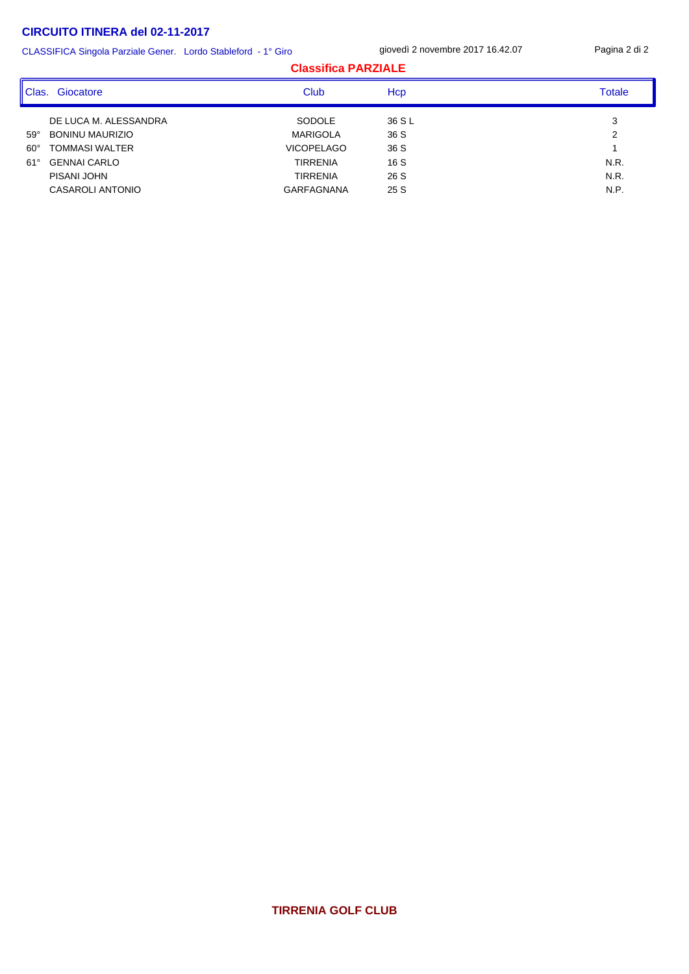CLASSIFICA Singola Parziale Gener. Lordo Stableford - 1° Giro

giovedì 2 novembre 2017 16.42.07 Pagina 2 di 2

| <b>Totale</b> |  |
|---------------|--|
| 3             |  |
| 2             |  |
|               |  |
| N.R.          |  |
| N.R.          |  |
| N.P.          |  |
|               |  |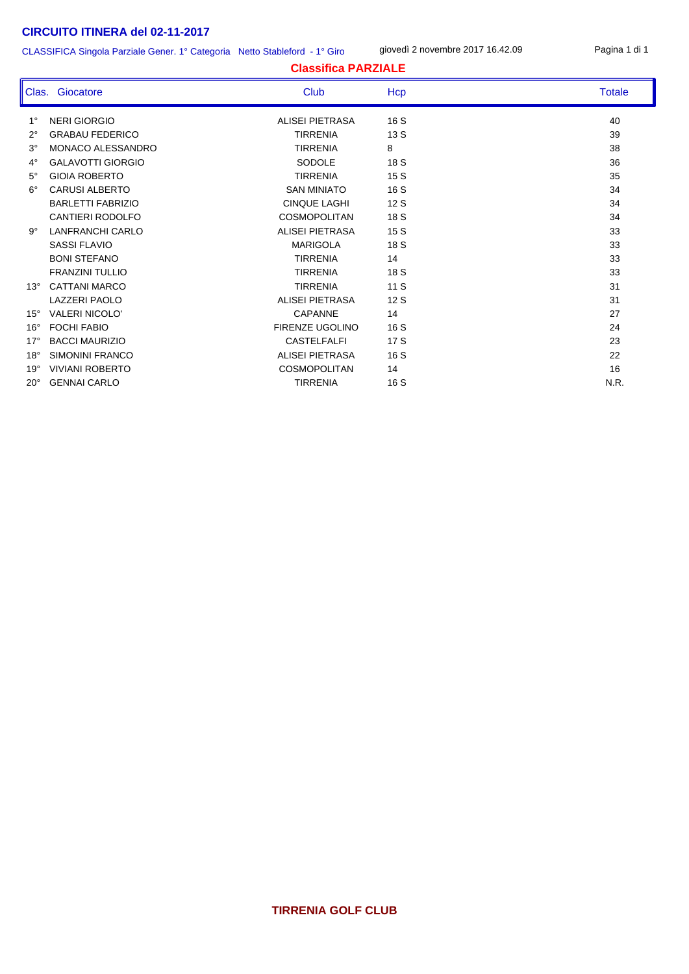CLASSIFICA Singola Parziale Gener. 1° Categoria Netto Stableford - 1° Giro

giovedì 2 novembre 2017 16.42.09 Pagina 1 di 1

|              | <u>ULAJJII IUA JIHYVIA FAIZIAIE UEHEI. F UAIEYVIIA TIEIIU JIAMEIVIU TT UIIV</u> |                            |      |               |  |
|--------------|---------------------------------------------------------------------------------|----------------------------|------|---------------|--|
|              |                                                                                 | <b>Classifica PARZIALE</b> |      |               |  |
|              | Clas. Giocatore                                                                 | Club                       |      | <b>Totale</b> |  |
| $1^{\circ}$  | <b>NERI GIORGIO</b>                                                             | <b>ALISEI PIETRASA</b>     | 16S  | 40            |  |
| $2^{\circ}$  | <b>GRABAU FEDERICO</b>                                                          | <b>TIRRENIA</b>            | 13S  | 39            |  |
| $3^{\circ}$  | MONACO ALESSANDRO                                                               | <b>TIRRENIA</b>            | 8    | 38            |  |
| $4^{\circ}$  | <b>GALAVOTTI GIORGIO</b>                                                        | <b>SODOLE</b>              | 18 S | 36            |  |
| $5^\circ$    | <b>GIOIA ROBERTO</b>                                                            | <b>TIRRENIA</b>            | 15 S | 35            |  |
| $6^{\circ}$  | <b>CARUSI ALBERTO</b>                                                           | <b>SAN MINIATO</b>         | 16 S | 34            |  |
|              | <b>BARLETTI FABRIZIO</b>                                                        | <b>CINQUE LAGHI</b>        | 12S  | 34            |  |
|              | <b>CANTIERI RODOLFO</b>                                                         | <b>COSMOPOLITAN</b>        | 18 S | 34            |  |
| $9^{\circ}$  | <b>LANFRANCHI CARLO</b>                                                         | <b>ALISEI PIETRASA</b>     | 15S  | 33            |  |
|              | <b>SASSI FLAVIO</b>                                                             | <b>MARIGOLA</b>            | 18 S | 33            |  |
|              | <b>BONI STEFANO</b>                                                             | <b>TIRRENIA</b>            | 14   | 33            |  |
|              | <b>FRANZINI TULLIO</b>                                                          | <b>TIRRENIA</b>            | 18 S | 33            |  |
| $13^\circ$   | <b>CATTANI MARCO</b>                                                            | <b>TIRRENIA</b>            | 11S  | 31            |  |
|              | <b>LAZZERI PAOLO</b>                                                            | <b>ALISEI PIETRASA</b>     | 12S  | 31            |  |
| $15^{\circ}$ | <b>VALERI NICOLO'</b>                                                           | <b>CAPANNE</b>             | 14   | 27            |  |
| $16^{\circ}$ | <b>FOCHI FABIO</b>                                                              | <b>FIRENZE UGOLINO</b>     | 16 S | 24            |  |
| $17^\circ$   | <b>BACCI MAURIZIO</b>                                                           | <b>CASTELFALFI</b>         | 17 S | 23            |  |
| $18^\circ$   | SIMONINI FRANCO                                                                 | ALISEI PIETRASA            | 16 S | 22            |  |
| $19^\circ$   | <b>VIVIANI ROBERTO</b>                                                          | <b>COSMOPOLITAN</b>        | 14   | 16            |  |
| $20^{\circ}$ | <b>GENNAI CARLO</b>                                                             | <b>TIRRENIA</b>            | 16 S | N.R.          |  |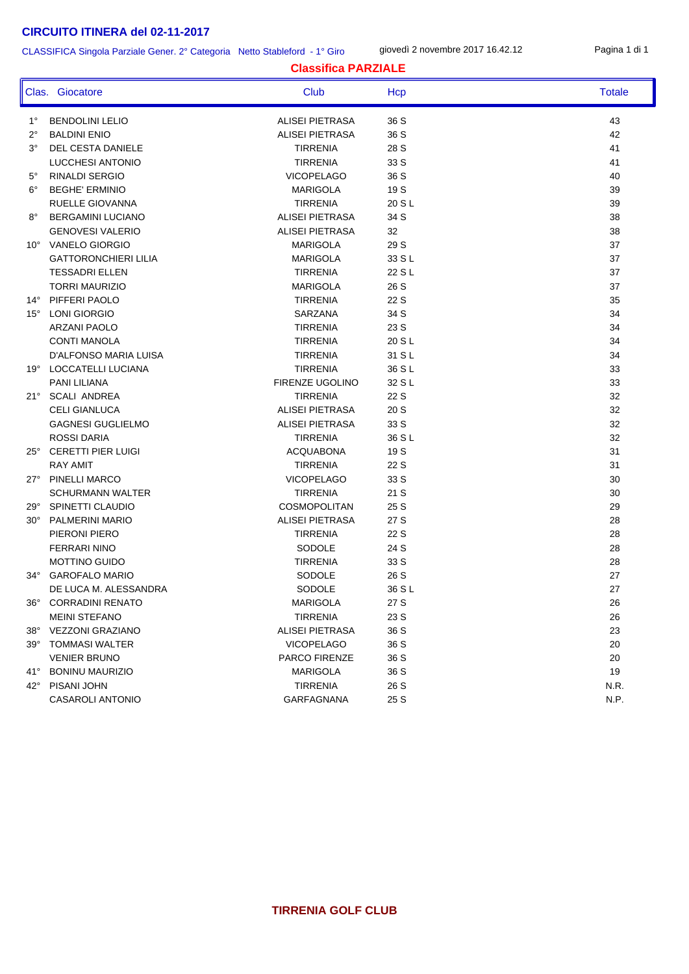#### CLASSIFICA Singola Parziale Gener. 2° Categoria Netto Stableford - 1° Giro

giovedì 2 novembre 2017 16.42.12 Pagina 1 di 1

|              | Clas. Giocatore             | Club                   | Hcp    | <b>Totale</b> |
|--------------|-----------------------------|------------------------|--------|---------------|
| $1^{\circ}$  | <b>BENDOLINI LELIO</b>      | <b>ALISEI PIETRASA</b> | 36 S   | 43            |
| $2^{\circ}$  | <b>BALDINI ENIO</b>         | <b>ALISEI PIETRASA</b> | 36 S   | 42            |
| $3^{\circ}$  | DEL CESTA DANIELE           | <b>TIRRENIA</b>        | 28 S   | 41            |
|              | LUCCHESI ANTONIO            | <b>TIRRENIA</b>        | 33 S   | 41            |
| $5^{\circ}$  | <b>RINALDI SERGIO</b>       | <b>VICOPELAGO</b>      | 36 S   | 40            |
| $6^{\circ}$  | <b>BEGHE' ERMINIO</b>       | <b>MARIGOLA</b>        | 19 S   | 39            |
|              | RUELLE GIOVANNA             | <b>TIRRENIA</b>        | 20 S L | 39            |
| 8°           | <b>BERGAMINI LUCIANO</b>    | ALISEI PIETRASA        | 34 S   | 38            |
|              | <b>GENOVESI VALERIO</b>     | ALISEI PIETRASA        | 32     | 38            |
|              | 10° VANELO GIORGIO          | <b>MARIGOLA</b>        | 29 S   | 37            |
|              | <b>GATTORONCHIERI LILIA</b> | <b>MARIGOLA</b>        | 33 S L | 37            |
|              | <b>TESSADRI ELLEN</b>       | <b>TIRRENIA</b>        | 22 S L | 37            |
|              | <b>TORRI MAURIZIO</b>       | <b>MARIGOLA</b>        | 26 S   | 37            |
|              | 14° PIFFERI PAOLO           | <b>TIRRENIA</b>        | 22 S   | 35            |
| $15^{\circ}$ | LONI GIORGIO                | SARZANA                | 34 S   | 34            |
|              | <b>ARZANI PAOLO</b>         | <b>TIRRENIA</b>        | 23 S   | 34            |
|              | <b>CONTI MANOLA</b>         | <b>TIRRENIA</b>        | 20 S L | 34            |
|              | D'ALFONSO MARIA LUISA       | <b>TIRRENIA</b>        | 31 S L | 34            |
|              | 19° LOCCATELLI LUCIANA      | <b>TIRRENIA</b>        | 36 S L | 33            |
|              | PANI LILIANA                | FIRENZE UGOLINO        | 32 S L | 33            |
| $21^{\circ}$ | <b>SCALI ANDREA</b>         | <b>TIRRENIA</b>        | 22 S   | 32            |
|              | <b>CELI GIANLUCA</b>        | ALISEI PIETRASA        | 20 S   | 32            |
|              | <b>GAGNESI GUGLIELMO</b>    | ALISEI PIETRASA        | 33 S   | 32            |
|              | <b>ROSSI DARIA</b>          | <b>TIRRENIA</b>        | 36 S L | 32            |
| $25^{\circ}$ | <b>CERETTI PIER LUIGI</b>   | <b>ACQUABONA</b>       | 19 S   | 31            |
|              | <b>RAY AMIT</b>             | <b>TIRRENIA</b>        | 22 S   | 31            |
|              | 27° PINELLI MARCO           | <b>VICOPELAGO</b>      | 33 S   | 30            |
|              | <b>SCHURMANN WALTER</b>     | <b>TIRRENIA</b>        | 21 S   | 30            |
| 29°          | SPINETTI CLAUDIO            | <b>COSMOPOLITAN</b>    | 25 S   | 29            |
| 30°          | PALMERINI MARIO             | ALISEI PIETRASA        | 27 S   | 28            |
|              | PIERONI PIERO               | <b>TIRRENIA</b>        | 22 S   | 28            |
|              | <b>FERRARI NINO</b>         | SODOLE                 | 24 S   | 28            |
|              | <b>MOTTINO GUIDO</b>        | <b>TIRRENIA</b>        | 33 S   | 28            |
| $34^\circ$   | <b>GAROFALO MARIO</b>       | SODOLE                 | 26 S   | 27            |
|              | DE LUCA M. ALESSANDRA       | <b>SODOLE</b>          | 36 S L | 27            |
| $36^\circ$   | <b>CORRADINI RENATO</b>     | <b>MARIGOLA</b>        | 27 S   | 26            |
|              | <b>MEINI STEFANO</b>        | <b>TIRRENIA</b>        | 23 S   | 26            |
| $38^\circ$   | <b>VEZZONI GRAZIANO</b>     | <b>ALISEI PIETRASA</b> | 36 S   | 23            |
| 39°          | <b>TOMMASI WALTER</b>       | <b>VICOPELAGO</b>      | 36 S   | 20            |
|              | <b>VENIER BRUNO</b>         | PARCO FIRENZE          | 36 S   | 20            |
| $41^{\circ}$ | <b>BONINU MAURIZIO</b>      | <b>MARIGOLA</b>        | 36 S   | 19            |
| $42^{\circ}$ | PISANI JOHN                 | <b>TIRRENIA</b>        | 26 S   | N.R.          |

**Classifica PARZIALE**

# **TIRRENIA GOLF CLUB**

CASAROLI ANTONIO CASAROLI ANTONIO CASAROLI ANTONIO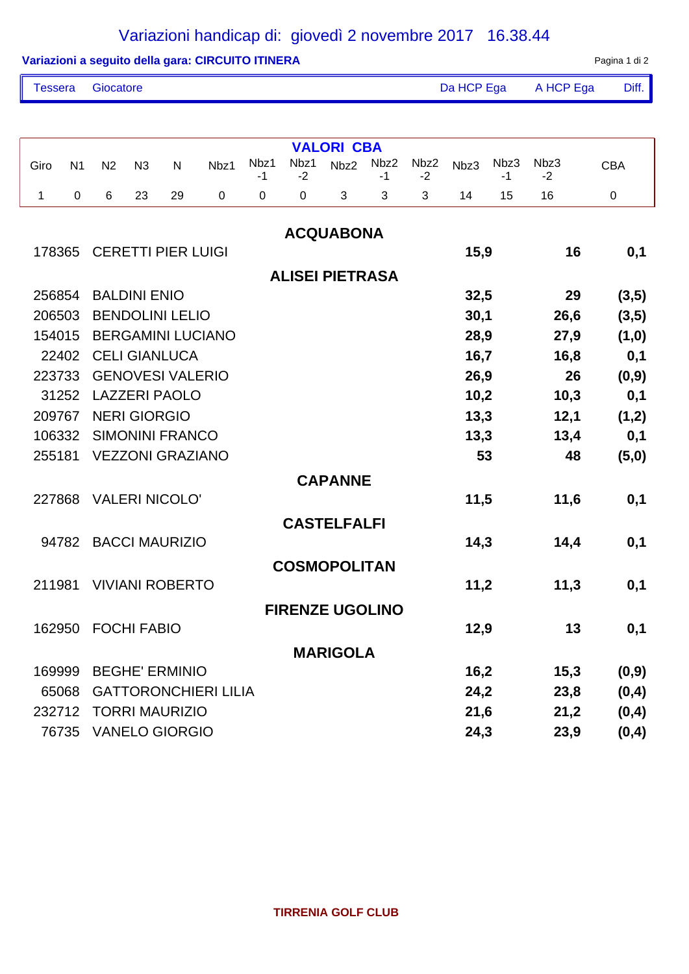# Variazioni handicap di: giovedì 2 novembre 2017 16.38.44

| Variazioni a seguito della gara: CIRCUITO ITINERA |  |
|---------------------------------------------------|--|
|---------------------------------------------------|--|

Pagina 1 di 2

| Tessera Giocatore | Da HCP Ega A HCP Ega Diff. |  |
|-------------------|----------------------------|--|
|                   |                            |  |

|             | <b>VALORI CBA</b> |                |                     |                           |                             |            |              |                        |            |              |      |              |              |            |
|-------------|-------------------|----------------|---------------------|---------------------------|-----------------------------|------------|--------------|------------------------|------------|--------------|------|--------------|--------------|------------|
| Giro        | N <sub>1</sub>    | N <sub>2</sub> | N3                  | $\mathsf{N}$              | Nbz1                        | Nbz1<br>-1 | Nbz1<br>$-2$ | Nbz2                   | Nbz2<br>-1 | Nbz2<br>$-2$ | Nbz3 | Nbz3<br>$-1$ | Nbz3<br>$-2$ | <b>CBA</b> |
| $\mathbf 1$ | $\mathbf 0$       | 6              | 23                  | 29                        | $\mathbf 0$                 | 0          | 0            | 3                      | 3          | 3            | 14   | 15           | 16           | $\pmb{0}$  |
|             |                   |                |                     |                           |                             |            |              | <b>ACQUABONA</b>       |            |              |      |              |              |            |
| 178365      |                   |                |                     | <b>CERETTI PIER LUIGI</b> |                             |            |              |                        |            |              | 15,9 |              | 16           | 0,1        |
|             |                   |                |                     |                           |                             |            |              | <b>ALISEI PIETRASA</b> |            |              |      |              |              |            |
| 256854      |                   |                | <b>BALDINI ENIO</b> |                           |                             |            |              |                        |            |              | 32,5 |              | 29           | (3,5)      |
| 206503      |                   |                |                     | <b>BENDOLINI LELIO</b>    |                             |            |              |                        |            |              | 30,1 |              | 26,6         | (3,5)      |
| 154015      |                   |                |                     |                           | <b>BERGAMINI LUCIANO</b>    |            |              |                        |            |              | 28,9 |              | 27,9         | (1,0)      |
| 22402       |                   |                |                     | <b>CELI GIANLUCA</b>      |                             |            |              |                        |            |              | 16,7 |              | 16,8         | 0,1        |
| 223733      |                   |                |                     | <b>GENOVESI VALERIO</b>   |                             |            |              |                        |            |              | 26,9 |              | 26           | (0, 9)     |
| 31252       |                   |                |                     | <b>LAZZERI PAOLO</b>      |                             |            |              |                        |            |              | 10,2 |              | 10,3         | 0,1        |
| 209767      |                   |                | <b>NERI GIORGIO</b> |                           |                             |            |              |                        |            |              | 13,3 |              | 12,1         | (1,2)      |
| 106332      |                   |                |                     | <b>SIMONINI FRANCO</b>    |                             |            |              |                        |            |              | 13,3 |              | 13,4         | 0,1        |
| 255181      |                   |                |                     | <b>VEZZONI GRAZIANO</b>   |                             |            |              |                        |            |              | 53   |              | 48           | (5, 0)     |
|             |                   |                |                     |                           |                             |            |              | <b>CAPANNE</b>         |            |              |      |              |              |            |
| 227868      |                   |                |                     | <b>VALERI NICOLO'</b>     |                             |            |              |                        |            |              | 11,5 |              | 11,6         | 0,1        |
|             |                   |                |                     |                           |                             |            |              | <b>CASTELFALFI</b>     |            |              |      |              |              |            |
| 94782       |                   |                |                     | <b>BACCI MAURIZIO</b>     |                             |            |              |                        |            |              | 14,3 |              | 14,4         | 0,1        |
|             |                   |                |                     |                           |                             |            |              | <b>COSMOPOLITAN</b>    |            |              |      |              |              |            |
| 211981      |                   |                |                     | <b>VIVIANI ROBERTO</b>    |                             |            |              |                        |            |              | 11,2 |              | 11,3         | 0,1        |
|             |                   |                |                     |                           |                             |            |              | <b>FIRENZE UGOLINO</b> |            |              |      |              |              |            |
| 162950      |                   |                | <b>FOCHI FABIO</b>  |                           |                             |            |              |                        |            |              | 12,9 |              | 13           | 0,1        |
|             |                   |                |                     |                           |                             |            |              | <b>MARIGOLA</b>        |            |              |      |              |              |            |
| 169999      |                   |                |                     | <b>BEGHE' ERMINIO</b>     |                             |            |              |                        |            |              | 16,2 |              | 15,3         | (0, 9)     |
| 65068       |                   |                |                     |                           | <b>GATTORONCHIERI LILIA</b> |            |              |                        |            |              | 24,2 |              | 23,8         | (0,4)      |
| 232712      |                   |                |                     | <b>TORRI MAURIZIO</b>     |                             |            |              |                        |            |              | 21,6 |              | 21,2         | (0,4)      |
| 76735       |                   |                |                     | <b>VANELO GIORGIO</b>     |                             |            |              |                        |            |              | 24,3 |              | 23,9         | (0, 4)     |